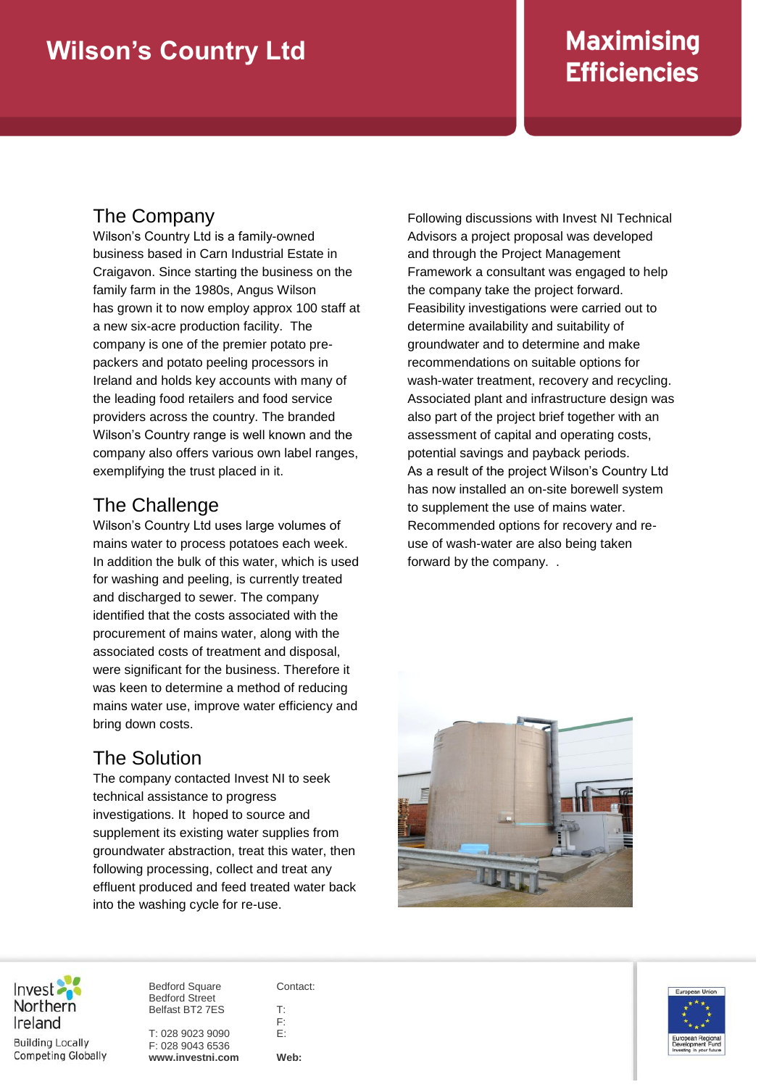# **Maximising Efficiencies**

#### The Company

Wilson's Country Ltd is a family-owned business based in Carn Industrial Estate in Craigavon. Since starting the business on the family farm in the 1980s, Angus Wilson has grown it to now employ approx 100 staff at a new six-acre production facility. The company is one of the premier potato prepackers and potato peeling processors in Ireland and holds key accounts with many of the leading food retailers and food service providers across the country. The branded Wilson's Country range is well known and the company also offers various own label ranges, exemplifying the trust placed in it.

## The Challenge

Wilson's Country Ltd uses large volumes of mains water to process potatoes each week. In addition the bulk of this water, which is used for washing and peeling, is currently treated and discharged to sewer. The company identified that the costs associated with the procurement of mains water, along with the associated costs of treatment and disposal, were significant for the business. Therefore it was keen to determine a method of reducing mains water use, improve water efficiency and bring down costs.

### The Solution

The company contacted Invest NI to seek technical assistance to progress investigations. It hoped to source and supplement its existing water supplies from groundwater abstraction, treat this water, then following processing, collect and treat any effluent produced and feed treated water back into the washing cycle for re-use.

Following discussions with Invest NI Technical Advisors a project proposal was developed and through the Project Management Framework a consultant was engaged to help the company take the project forward. Feasibility investigations were carried out to determine availability and suitability of groundwater and to determine and make recommendations on suitable options for wash-water treatment, recovery and recycling. Associated plant and infrastructure design was also part of the project brief together with an assessment of capital and operating costs, potential savings and payback periods. As a result of the project Wilson's Country Ltd has now installed an on-site borewell system to supplement the use of mains water. Recommended options for recovery and reuse of wash-water are also being taken forward by the company. .





**Building Locally Competing Globally**  Bedford Square Bedford Street Belfast BT2 7ES

T: 028 9023 9090 F: 028 9043 6536 **www.investni.com** Contact:

T: F: E:

**Web:**